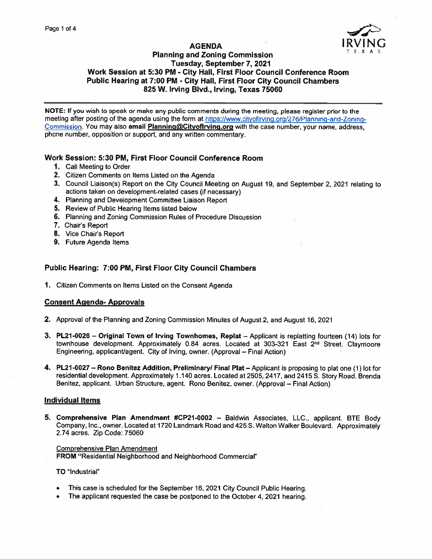

# **AGENDA** Planning and Zoning Commission Tuesday, September 7, 2021 Work Session at 5:30 PM - City Hall, First Floor Council Conference Room Public Hearing at 7:00 PM - City Hall, First Floor City Council Chambers 825 W. Irving Blvd., Irving, Texas 75060

NOTE: If you wish to spea<sup>k</sup> or make any public comments during the meeting, <sup>p</sup>lease register prior to the meeting after posting of the agenda using the form at https://www.cityofirving.org/276/Planning-and-Zoning-Commission. You may also email Planning@Cityoflrving.org with the case number, your name, address, phone number, opposition or support, and any written commentary.

## Work Session: 5:30 PM, First Floor Council Conference Room

- 1. Call Meeting to Order
- 2. Citizen Comments on Items Listed on the Agenda
- 3. Council Liaison(s) Report on the City Council Meeting on August 19, and September 2, <sup>2021</sup> relating to actions taken on development-related cases (if necessary)
- 4. Planning and Development Committee Liaison Report
- 5. Review of Public Hearing Items listed below
- 6. Planning and Zoning Commission Rules of Procedure Discussion
- 7. Chair's Report
- 8. Vice Chair's Report
- 9. Future Agenda Items

# Public Hearing: 7:00 PM, First Floor City Council Chambers

1. Citizen Comments on Items Listed on the Consent Agenda

# Consent Agenda- Approvals

- 2. Approval of the Planning and Zoning Commission Minutes of August 2, and August 16, 2021
- 3. PL21-0026 Original Town of Irving Townhomes, Replat Applicant is replatting fourteen (14) lots for townhouse development. Approximately 0.84 acres. Located at 303-321 East  $2<sup>nd</sup>$  Street. Claymoore Engineering, applicant/agent. City of Irving, owner. (Approval — Final Action)
- 4. PL21-0027 Rono Benitez Addition, Preliminary/ Final Plat Applicant is proposing to plat one (1) lot for residential development. Approximately 1.140 acres. Located at 2505, 2417, and 2415 S. Story Road. Brenda Benitez, applicant. Urban Structure, agent. Rono Benitez, owner. (Approval — Final Action)

### Individual Items

5. Comprehensive Plan Amendment #CP2I-0002 — Baldwin Associates, LLC., applicant. BTE Body Company. Inc., owner. Located at 1720 Landmark Road and 425 S. Walton Walker Boulevard. Approximately 2.74 acres. Zip Code: 75060

### Comprehensive Plan Amendment FROM "Residential Neighborhood and Neighborhood Commercial"

### TO 'Industrial"

- •This case is scheduled for the September 16, <sup>2021</sup> City Council Public Hearing.
- •The applicant requested the case be postponed to the October 4, <sup>2021</sup> hearing.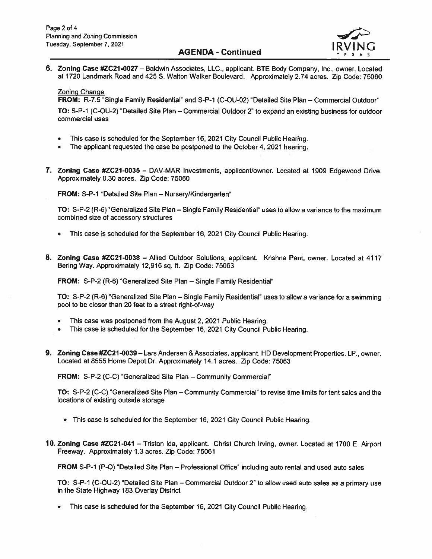# Tuesday, September 7, 2021 **I RV I RV I AGENDA - Continued F**



6. Zoning Case #ZC21-0027 - Baldwin Associates, LLC., applicant. BTE Body Company, Inc., owner. Located at 1720 Landmark Road and 425 S. Walton Walker Boulevard. Approximately 2.74 acres. Zip Code: 75060

### Zoning Change

FROM: R-7.5 "Single Family Residential" and S-P-1 (C-OU-02) "Detailed Site Plan - Commercial Outdoor"

TO: S-P-i (C-OU-2) "Detailed Site Plan — Commercial Outdoor 2" to expand an existing business for outdoor commercial uses

- •This case is scheduled for the September 16, 2021 City Council Public Hearing.
- •The applicant requested the case be postponed to the October 4, 2021 hearing.
- 7. Zoning Case #ZC2I-0035 DAy-MAR Investments, applicant/owner. Located at 1909 Edgewood Drive. Approximately 0.30 acres. Zip Code: 75060

FROM: S-P-i "Detailed Site Plan — Nursery/Kindergarten"

TO: S-P-2 (R-6) "Generalized Site Plan — Single Family Residential" uses to allow <sup>a</sup> variance to the maximum combined size of accessory structures

- •This case is scheduled for the September 16, 2021 City Council Public Hearing.
- 8. Zoning Case #ZC21-0038 Allied Outdoor Solutions, applicant. Krishna Pant, owner. Located at 4117 Bering Way. Approximately 12,916 sq. ft. Zip Code: 75063

FROM: S-P-2 (R-6) 'Generalized Site Plan — Single Family Residential"

TO: S-P-2 (R-6) 'Generalized Site Plan — Single Family Residential" uses to allow <sup>a</sup> variance for <sup>a</sup> swimming pool to be closer than 20 feet to <sup>a</sup> street right-of-way

- •This case was postponed from the August 2, 2021 Public Hearing.
- •This case is scheduled for the September 16, 2021 City Council Public Hearing.
- 9. Zoning Case #ZC2I -0039— Lars Andersen & Associates, applicant. HD Development Properties, LP., owner. Located at 8555 Home Depot Dr. Approximately 14.1 acres. Zip Code: 75063

FROM: S-P-2 (C-C) "Generalized Site Plan — Community Commercial"

TO: S-P-2 (C-C) "Generalized Site Plan — Community Commercial" to revise time limits for tent sales and the locations of existing outside storage

- This case is scheduled for the September 16, 2021 City Council Public Hearing.
- 10. Zoning Case #ZC21-041 Triston Ida, applicant. Christ Church Irving, owner. Located at <sup>1700</sup> E. Airport Freeway. Approximately 1.3 acres. Zip Code: 75061

FROM S-P-i (P-O) "Detailed Site Plan — Professional Office" including auto rental and used auto sales

TO: S-P-i (C-DU-2) 'Detailed Site Plan — Commercial Outdoor 2" to allow used auto sales as <sup>a</sup> primary use in the State Highway 183 Overlay District

•This case is scheduled for the September 16, 2021 City Council Public Hearing.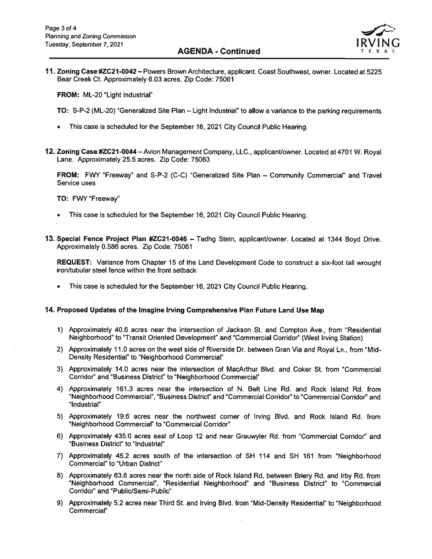

11. Zoning Case #ZC21-0042 — Powers Brown Architecture, applicant. Coast Southwest, owner. Located at <sup>5225</sup> Bear Creek Ct. Approximately 6.03 acres. Zip Code: 75061

FROM: ML-20 "Light Industrial"

- TO: S-P-2 (ML-20) "Generalized Site Plan Light Industrial" to allow <sup>a</sup> variance to the parking requirements
- This case is scheduled for the September 16, 2021 City Council Public Hearing.
- 12. Zoning Case #ZC2I-0044—Avion Management Company, LLC., applicant/owner. Located at 4701W. Royal Lane. Approximately 25.5 acres. Zip Code: 75063

FROM: FWY "Freeway" and S-P-2 (C-C) "Generalized Site Plan - Community Commercial" and Travel Service uses

#### TO: FWY "Freeway"

- This case is scheduled for the September 16, 2021 City Council Public Hearing.
- 13. Special Fence Project Plan #ZC21-0046 Tadhg Stein, applicant/owner. Located at 1344 Boyd Drive. Approximately 0.586 acres. Zip Code: 75061

REQUEST: Variance from Chapter 15 of the Land Development Code to construct a six-foot tall wrought iron/tubular steel fence within the front setback

This case is scheduled for the September 16, 2021 City Council Public Hearing.

## 14. Proposed Updates of the Imagine Irving Comprehensive Plan Future Land Use Map

- 1) Approximately 40.6 acres near the intersection of Jackson St. and Compton Ave., from "Residential Neighborhood" to Transit Oriented Development" and "Commercial Corridor" (West Irving Station)
- 2) Approximately 11.0 acres on the west side of Riverside Dr. between Gran Via and Royal Ln., from "Mid-Density Residential" to "Neighborhood Commercial"
- 3) Approximately 14.0 acres near the intersection of MacArthur Blvd. and Coker St. from Commercial Corridor" and "Business District" to "Neighborhood Commercial"
- 4) Approximately 161.3 acres near the intersection of N. Belt Line Rd. and Rock Island Rd. from "Neighborhood Commercial", "Business District" and "Commercial Corridor" to "Commercial Corridor" and "Industrial"
- 5) Approximately 19.6 acres near the northwest corner of Irving Blvd. and Rock Island Rd. from "Neighborhood Commercial' to "Commercial Corridor"
- 6) Approximately 435.0 acres east of Loop 12 and near Grauwyler Rd. from "Commercial Corridor' and "Business District' to "Industrial"
- 7) Approximately 45.2 acres south of the intersection of SH <sup>114</sup> and SH 161 from "Neighborhood Commercial" to "Urban District"
- 8) Approximately 63.6 acres near the north side of Rock Island Rd. between Briery Rd. and Irby Rd. from "Neighborhood Commercial', "Residential Neighborhood" and "Business District" to "Commercial Corridor" and "Public/Semi-Public"
- 9) Approximately 5.2 acres near Third St. and Irving Blvd. from "Mid-Density Residential' to "Neighborhood Commercial"